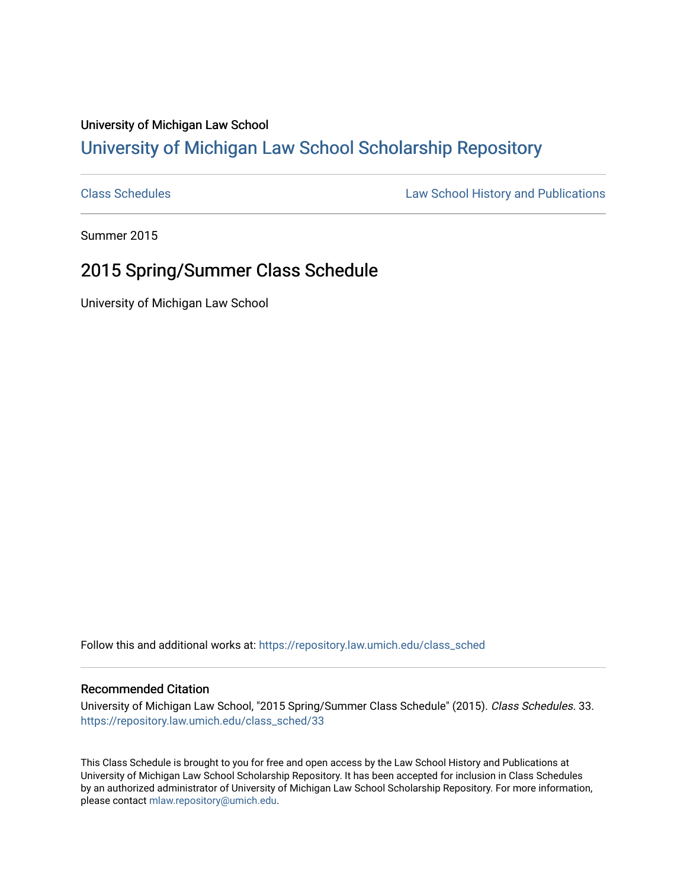## University of Michigan Law School [University of Michigan Law School Scholarship Repository](https://repository.law.umich.edu/)

[Class Schedules](https://repository.law.umich.edu/class_sched) **Law School History and Publications** 

Summer 2015

## 2015 Spring/Summer Class Schedule

University of Michigan Law School

Follow this and additional works at: [https://repository.law.umich.edu/class\\_sched](https://repository.law.umich.edu/class_sched?utm_source=repository.law.umich.edu%2Fclass_sched%2F33&utm_medium=PDF&utm_campaign=PDFCoverPages) 

## Recommended Citation

University of Michigan Law School, "2015 Spring/Summer Class Schedule" (2015). Class Schedules. 33. [https://repository.law.umich.edu/class\\_sched/33](https://repository.law.umich.edu/class_sched/33?utm_source=repository.law.umich.edu%2Fclass_sched%2F33&utm_medium=PDF&utm_campaign=PDFCoverPages)

This Class Schedule is brought to you for free and open access by the Law School History and Publications at University of Michigan Law School Scholarship Repository. It has been accepted for inclusion in Class Schedules by an authorized administrator of University of Michigan Law School Scholarship Repository. For more information, please contact [mlaw.repository@umich.edu.](mailto:mlaw.repository@umich.edu)